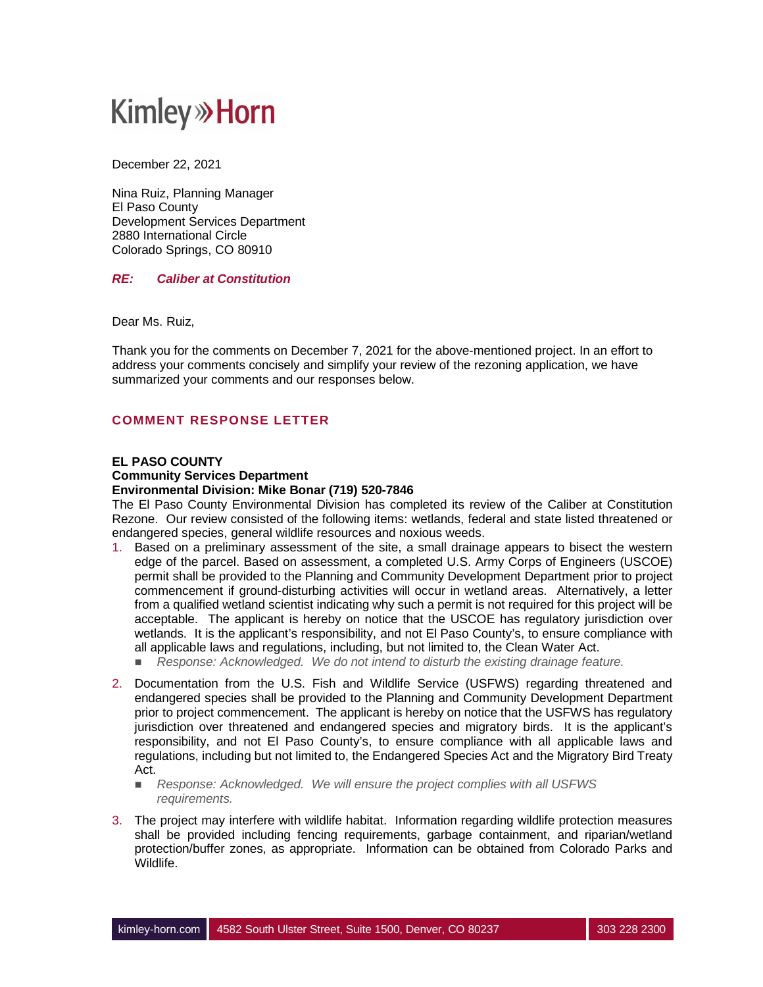## **Kimley»Horn**

December 22, 2021

Nina Ruiz, Planning Manager El Paso County Development Services Department 2880 International Circle Colorado Springs, CO 80910

### *RE: Caliber at Constitution*

Dear Ms. Ruiz,

Thank you for the comments on December 7, 2021 for the above-mentioned project. In an effort to address your comments concisely and simplify your review of the rezoning application, we have summarized your comments and our responses below.

## **COMMENT RESPONSE LETTER**

#### **EL PASO COUNTY**

#### **Community Services Department**

#### **Environmental Division: Mike Bonar (719) 520-7846**

The El Paso County Environmental Division has completed its review of the Caliber at Constitution Rezone. Our review consisted of the following items: wetlands, federal and state listed threatened or endangered species, general wildlife resources and noxious weeds.

- 1. Based on a preliminary assessment of the site, a small drainage appears to bisect the western edge of the parcel. Based on assessment, a completed U.S. Army Corps of Engineers (USCOE) permit shall be provided to the Planning and Community Development Department prior to project commencement if ground-disturbing activities will occur in wetland areas. Alternatively, a letter from a qualified wetland scientist indicating why such a permit is not required for this project will be acceptable. The applicant is hereby on notice that the USCOE has regulatory jurisdiction over wetlands. It is the applicant's responsibility, and not El Paso County's, to ensure compliance with all applicable laws and regulations, including, but not limited to, the Clean Water Act.
	- Response: Acknowledged. We do not intend to disturb the existing drainage feature.
- 2. Documentation from the U.S. Fish and Wildlife Service (USFWS) regarding threatened and endangered species shall be provided to the Planning and Community Development Department prior to project commencement. The applicant is hereby on notice that the USFWS has regulatory jurisdiction over threatened and endangered species and migratory birds. It is the applicant's responsibility, and not El Paso County's, to ensure compliance with all applicable laws and regulations, including but not limited to, the Endangered Species Act and the Migratory Bird Treaty Act.
	- **n** *Response: Acknowledged. We will ensure the project complies with all USFWS requirements.*
- 3. The project may interfere with wildlife habitat. Information regarding wildlife protection measures shall be provided including fencing requirements, garbage containment, and riparian/wetland protection/buffer zones, as appropriate. Information can be obtained from Colorado Parks and Wildlife.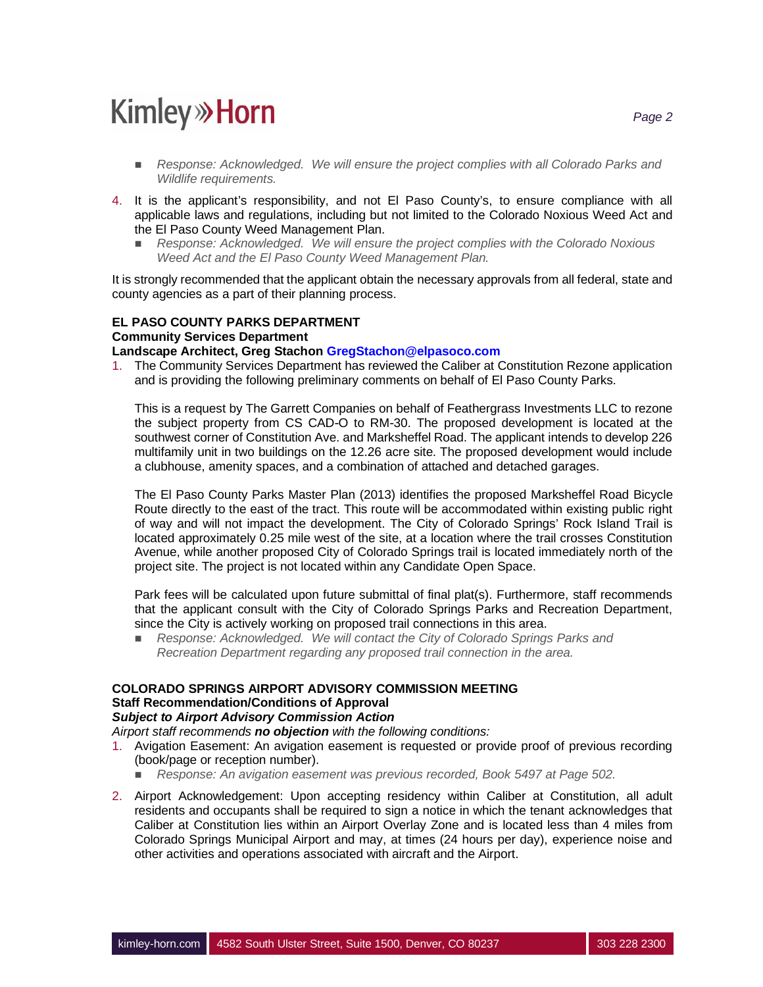# **Kimley»Horn**

- **n** *Response: Acknowledged. We will ensure the project complies with all Colorado Parks and Wildlife requirements.*
- 4. It is the applicant's responsibility, and not El Paso County's, to ensure compliance with all applicable laws and regulations, including but not limited to the Colorado Noxious Weed Act and the El Paso County Weed Management Plan.
	- n *Response: Acknowledged. We will ensure the project complies with the Colorado Noxious Weed Act and the El Paso County Weed Management Plan.*

It is strongly recommended that the applicant obtain the necessary approvals from all federal, state and county agencies as a part of their planning process.

## **EL PASO COUNTY PARKS DEPARTMENT Community Services Department**

#### **Landscape Architect, Greg Stachon GregStachon@elpasoco.com**

1. The Community Services Department has reviewed the Caliber at Constitution Rezone application and is providing the following preliminary comments on behalf of El Paso County Parks.

This is a request by The Garrett Companies on behalf of Feathergrass Investments LLC to rezone the subject property from CS CAD-O to RM-30. The proposed development is located at the southwest corner of Constitution Ave. and Marksheffel Road. The applicant intends to develop 226 multifamily unit in two buildings on the 12.26 acre site. The proposed development would include a clubhouse, amenity spaces, and a combination of attached and detached garages.

The El Paso County Parks Master Plan (2013) identifies the proposed Marksheffel Road Bicycle Route directly to the east of the tract. This route will be accommodated within existing public right of way and will not impact the development. The City of Colorado Springs' Rock Island Trail is located approximately 0.25 mile west of the site, at a location where the trail crosses Constitution Avenue, while another proposed City of Colorado Springs trail is located immediately north of the project site. The project is not located within any Candidate Open Space.

Park fees will be calculated upon future submittal of final plat(s). Furthermore, staff recommends that the applicant consult with the City of Colorado Springs Parks and Recreation Department, since the City is actively working on proposed trail connections in this area.

**n** *Response: Acknowledged. We will contact the City of Colorado Springs Parks and Recreation Department regarding any proposed trail connection in the area.*

#### **COLORADO SPRINGS AIRPORT ADVISORY COMMISSION MEETING Staff Recommendation/Conditions of Approval** *Subject to Airport Advisory Commission Action*

*Airport staff recommends no objection with the following conditions:*

- 1. Avigation Easement: An avigation easement is requested or provide proof of previous recording (book/page or reception number).
	- n *Response: An avigation easement was previous recorded, Book 5497 at Page 502.*
- 2. Airport Acknowledgement: Upon accepting residency within Caliber at Constitution, all adult residents and occupants shall be required to sign a notice in which the tenant acknowledges that Caliber at Constitution lies within an Airport Overlay Zone and is located less than 4 miles from Colorado Springs Municipal Airport and may, at times (24 hours per day), experience noise and other activities and operations associated with aircraft and the Airport.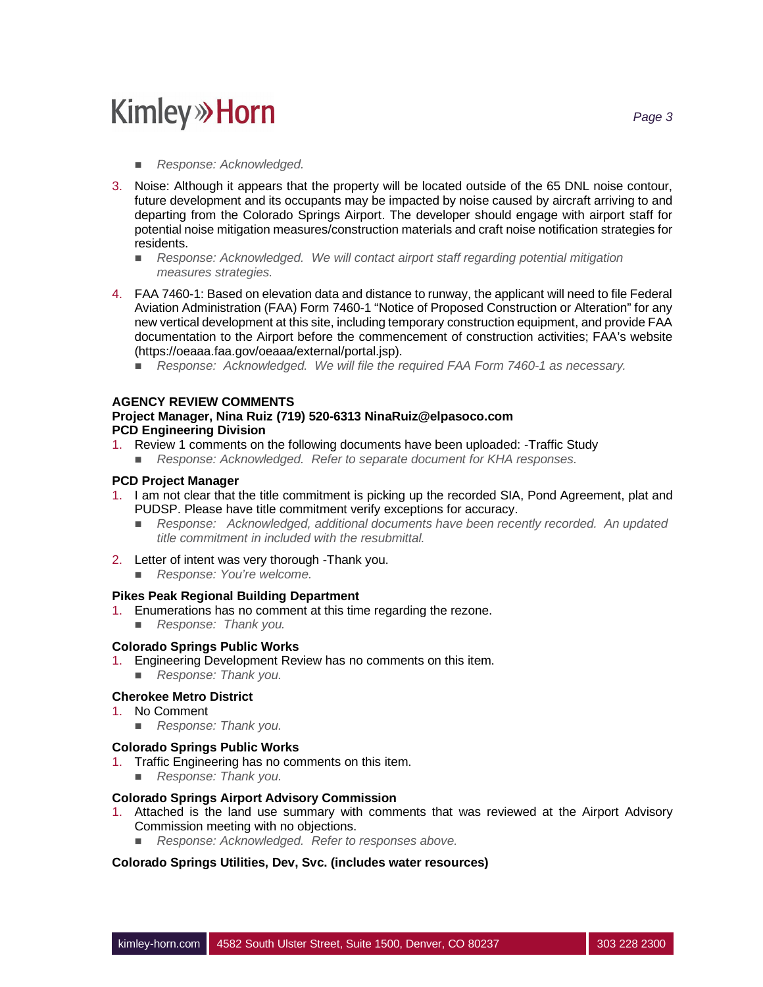# **Kimley»Horn**

- *Response: Acknowledged.*
- 3. Noise: Although it appears that the property will be located outside of the 65 DNL noise contour, future development and its occupants may be impacted by noise caused by aircraft arriving to and departing from the Colorado Springs Airport. The developer should engage with airport staff for potential noise mitigation measures/construction materials and craft noise notification strategies for residents.
	- *Response: Acknowledged. We will contact airport staff regarding potential mitigation measures strategies.*
- 4. FAA 7460-1: Based on elevation data and distance to runway, the applicant will need to file Federal Aviation Administration (FAA) Form 7460-1 "Notice of Proposed Construction or Alteration" for any new vertical development at this site, including temporary construction equipment, and provide FAA documentation to the Airport before the commencement of construction activities; FAA's website (https://oeaaa.faa.gov/oeaaa/external/portal.jsp).
	- *Response: Acknowledged. We will file the required FAA Form 7460-1 as necessary.*

## **AGENCY REVIEW COMMENTS**

#### **Project Manager, Nina Ruiz (719) 520-6313 NinaRuiz@elpasoco.com PCD Engineering Division**

- 1. Review 1 comments on the following documents have been uploaded: -Traffic Study
	- n *Response: Acknowledged. Refer to separate document for KHA responses.*

### **PCD Project Manager**

- 1. I am not clear that the title commitment is picking up the recorded SIA, Pond Agreement, plat and PUDSP. Please have title commitment verify exceptions for accuracy.
	- n *Response: Acknowledged, additional documents have been recently recorded. An updated title commitment in included with the resubmittal.*
- 2. Letter of intent was very thorough -Thank you.
	- *Response: You're welcome.*

### **Pikes Peak Regional Building Department**

- 1. Enumerations has no comment at this time regarding the rezone.
	- **Response: Thank you.**

### **Colorado Springs Public Works**

- 1. Engineering Development Review has no comments on this item.
- **Response: Thank you.**

### **Cherokee Metro District**

- 1. No Comment
	- **Response: Thank you.**

## **Colorado Springs Public Works**

- 1. Traffic Engineering has no comments on this item.
	- **Response: Thank you.**

### **Colorado Springs Airport Advisory Commission**

- 1. Attached is the land use summary with comments that was reviewed at the Airport Advisory Commission meeting with no objections.
	- n *Response: Acknowledged. Refer to responses above.*

### **Colorado Springs Utilities, Dev, Svc. (includes water resources)**